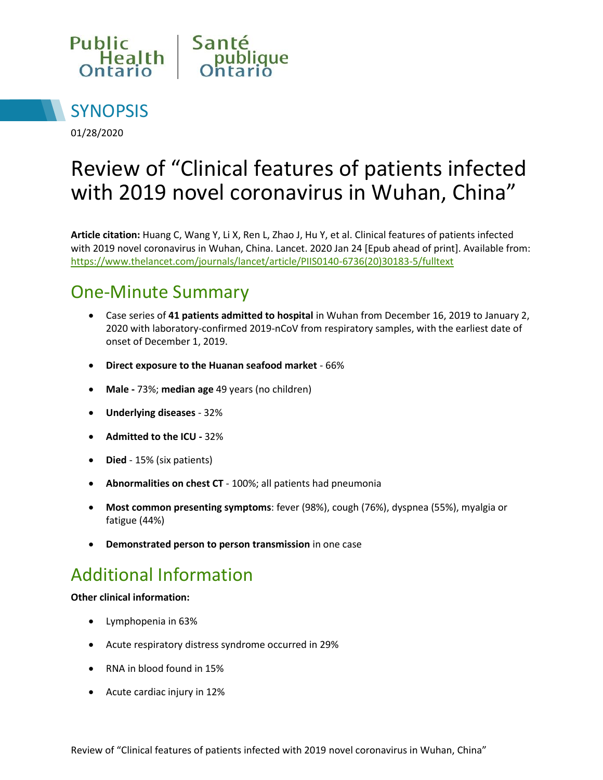



01/28/2020

# Review of "Clinical features of patients infected with 2019 novel coronavirus in Wuhan, China"

**Article citation:** Huang C, Wang Y, Li X, Ren L, Zhao J, Hu Y, et al. Clinical features of patients infected with 2019 novel coronavirus in Wuhan, China. Lancet. 2020 Jan 24 [Epub ahead of print]. Available from: [https://www.thelancet.com/journals/lancet/article/PIIS0140-6736\(20\)30183-5/fulltext](https://www.thelancet.com/journals/lancet/article/PIIS0140-6736(20)30183-5/fulltext) 

### One-Minute Summary

- Case series of **41 patients admitted to hospital** in Wuhan from December 16, 2019 to January 2, 2020 with laboratory-confirmed 2019-nCoV from respiratory samples, with the earliest date of onset of December 1, 2019.
- **Direct exposure to the Huanan seafood market**  66%
- **Male** 73%; **median age** 49 years (no children)
- **Underlying diseases**  32%
- **Admitted to the ICU** 32%
- **Died** 15% (six patients)
- **Abnormalities on chest CT** 100%; all patients had pneumonia
- **Most common presenting symptoms**: fever (98%), cough (76%), dyspnea (55%), myalgia or fatigue (44%)
- **Demonstrated person to person transmission** in one case

### Additional Information

#### **Other clinical information:**

- Lymphopenia in 63%
- Acute respiratory distress syndrome occurred in 29%
- RNA in blood found in 15%
- Acute cardiac injury in 12%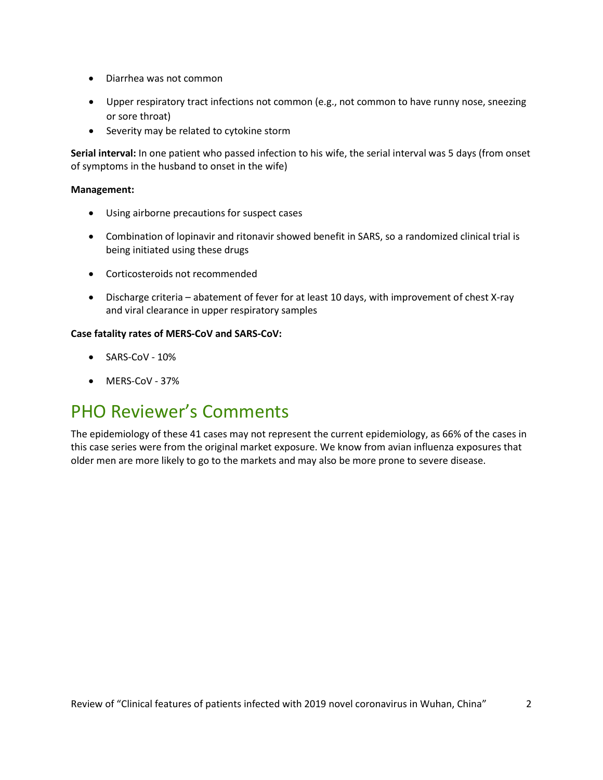- Diarrhea was not common
- Upper respiratory tract infections not common (e.g., not common to have runny nose, sneezing or sore throat)
- Severity may be related to cytokine storm

**Serial interval:** In one patient who passed infection to his wife, the serial interval was 5 days (from onset of symptoms in the husband to onset in the wife)

#### **Management:**

- Using airborne precautions for suspect cases
- Combination of lopinavir and ritonavir showed benefit in SARS, so a randomized clinical trial is being initiated using these drugs
- Corticosteroids not recommended
- Discharge criteria abatement of fever for at least 10 days, with improvement of chest X-ray and viral clearance in upper respiratory samples

#### **Case fatality rates of MERS-CoV and SARS-CoV:**

- SARS-CoV 10%
- MERS-CoV 37%

### PHO Reviewer's Comments

The epidemiology of these 41 cases may not represent the current epidemiology, as 66% of the cases in this case series were from the original market exposure. We know from avian influenza exposures that older men are more likely to go to the markets and may also be more prone to severe disease.